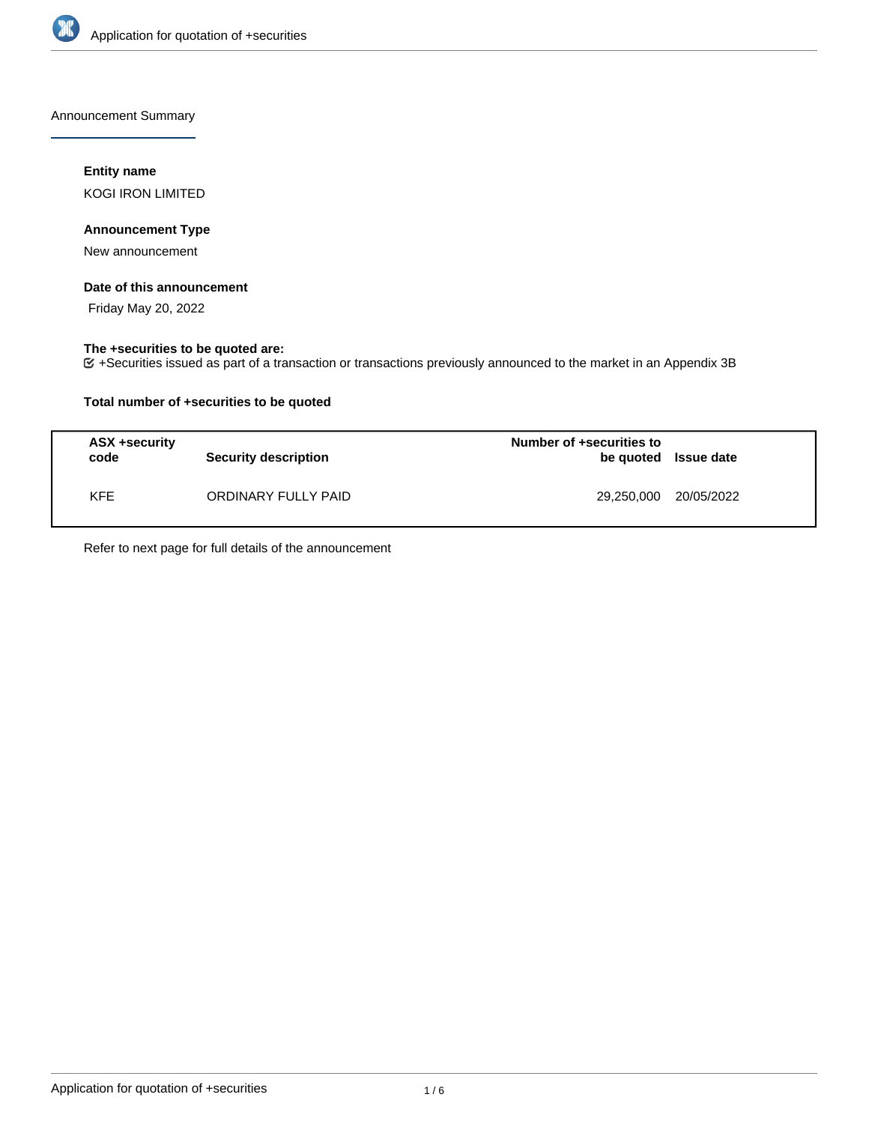

Announcement Summary

## **Entity name**

KOGI IRON LIMITED

## **Announcement Type**

New announcement

### **Date of this announcement**

Friday May 20, 2022

## **The +securities to be quoted are:**

+Securities issued as part of a transaction or transactions previously announced to the market in an Appendix 3B

## **Total number of +securities to be quoted**

| ASX +security<br>code | <b>Security description</b> | Number of +securities to<br>be quoted Issue date |  |
|-----------------------|-----------------------------|--------------------------------------------------|--|
| <b>KFE</b>            | ORDINARY FULLY PAID         | 29,250,000 20/05/2022                            |  |

Refer to next page for full details of the announcement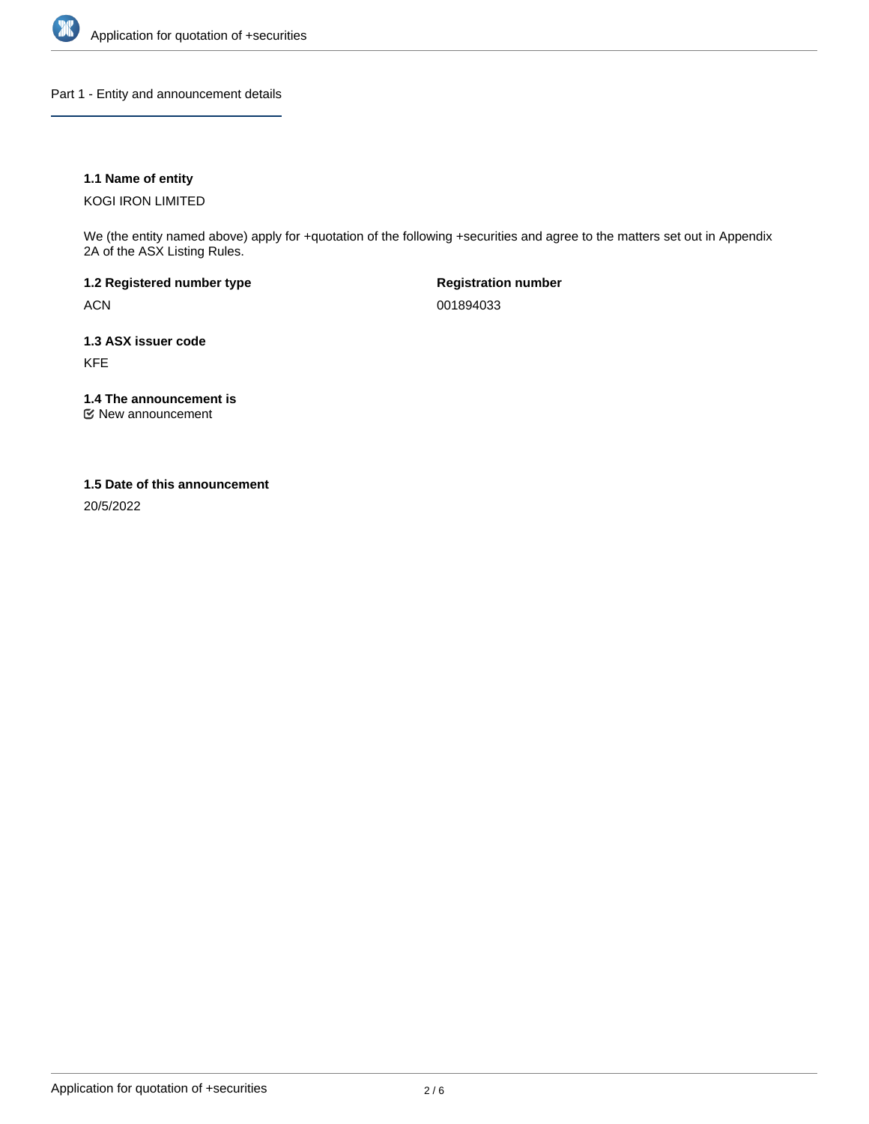

Part 1 - Entity and announcement details

## **1.1 Name of entity**

KOGI IRON LIMITED

We (the entity named above) apply for +quotation of the following +securities and agree to the matters set out in Appendix 2A of the ASX Listing Rules.

**1.2 Registered number type** ACN

**Registration number** 001894033

**1.3 ASX issuer code** KFE

**1.4 The announcement is**

New announcement

### **1.5 Date of this announcement**

20/5/2022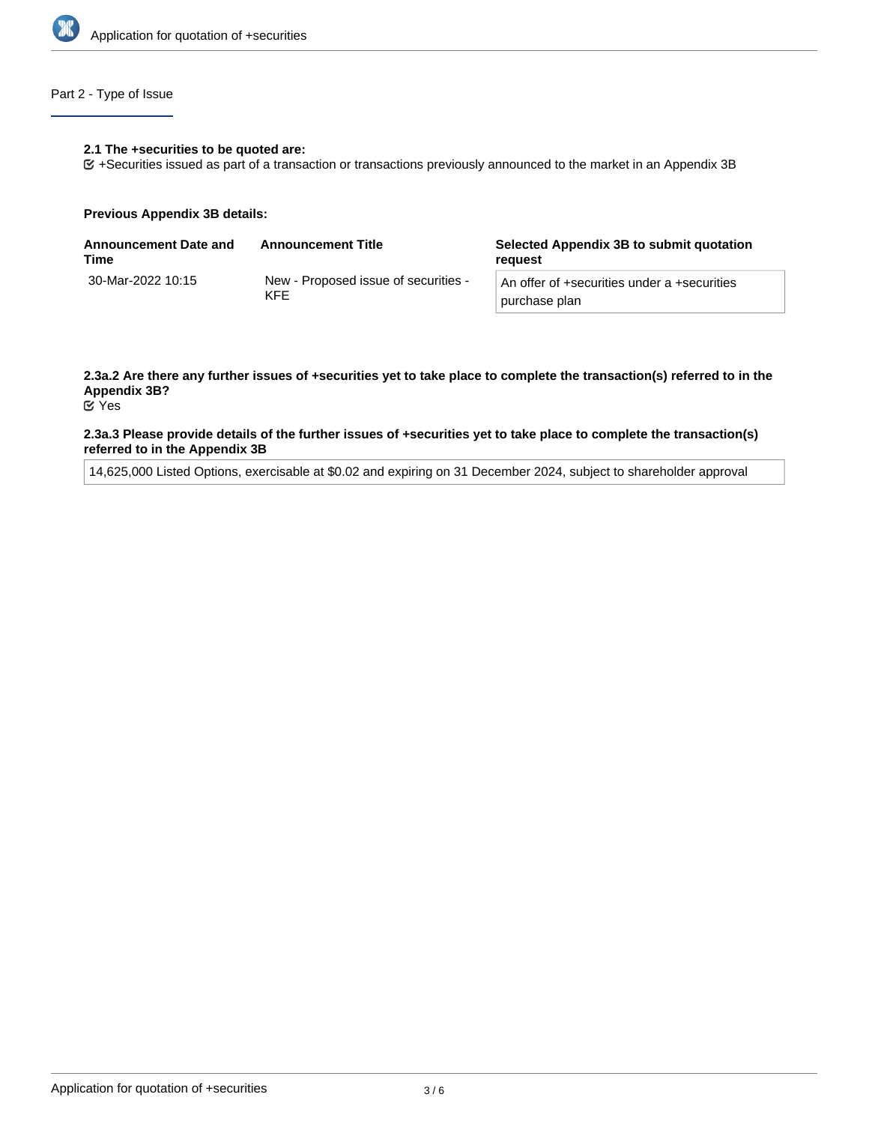

## Part 2 - Type of Issue

#### **2.1 The +securities to be quoted are:**

+Securities issued as part of a transaction or transactions previously announced to the market in an Appendix 3B

#### **Previous Appendix 3B details:**

| Announcement Date and<br>Time | <b>Announcement Title</b>                          | Selected Appendix 3B to submit quotation<br>reguest          |
|-------------------------------|----------------------------------------------------|--------------------------------------------------------------|
| 30-Mar-2022 10:15             | New - Proposed issue of securities -<br><b>KFF</b> | An offer of +securities under a +securities<br>purchase plan |

# **2.3a.2 Are there any further issues of +securities yet to take place to complete the transaction(s) referred to in the Appendix 3B?**

Yes

#### **2.3a.3 Please provide details of the further issues of +securities yet to take place to complete the transaction(s) referred to in the Appendix 3B**

14,625,000 Listed Options, exercisable at \$0.02 and expiring on 31 December 2024, subject to shareholder approval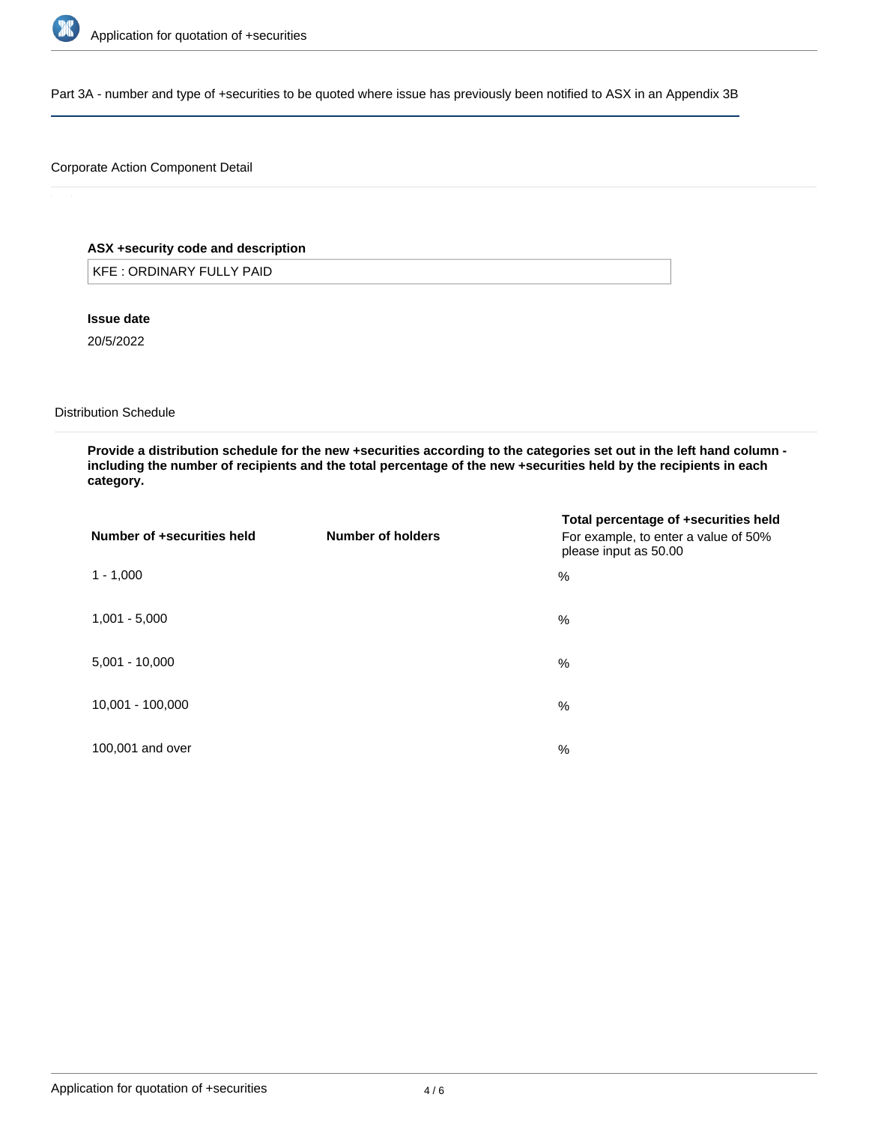

Part 3A - number and type of +securities to be quoted where issue has previously been notified to ASX in an Appendix 3B

## Corporate Action Component Detail

## **ASX +security code and description**

KFE : ORDINARY FULLY PAID

**Issue date**

20/5/2022

Distribution Schedule

**Provide a distribution schedule for the new +securities according to the categories set out in the left hand column including the number of recipients and the total percentage of the new +securities held by the recipients in each category.**

| Number of +securities held | Number of holders | Total percentage of +securities held<br>For example, to enter a value of 50%<br>please input as 50.00 |
|----------------------------|-------------------|-------------------------------------------------------------------------------------------------------|
| $1 - 1,000$                |                   | %                                                                                                     |
| $1,001 - 5,000$            |                   | %                                                                                                     |
| $5,001 - 10,000$           |                   | %                                                                                                     |
| 10,001 - 100,000           |                   | %                                                                                                     |
| 100,001 and over           |                   | $\%$                                                                                                  |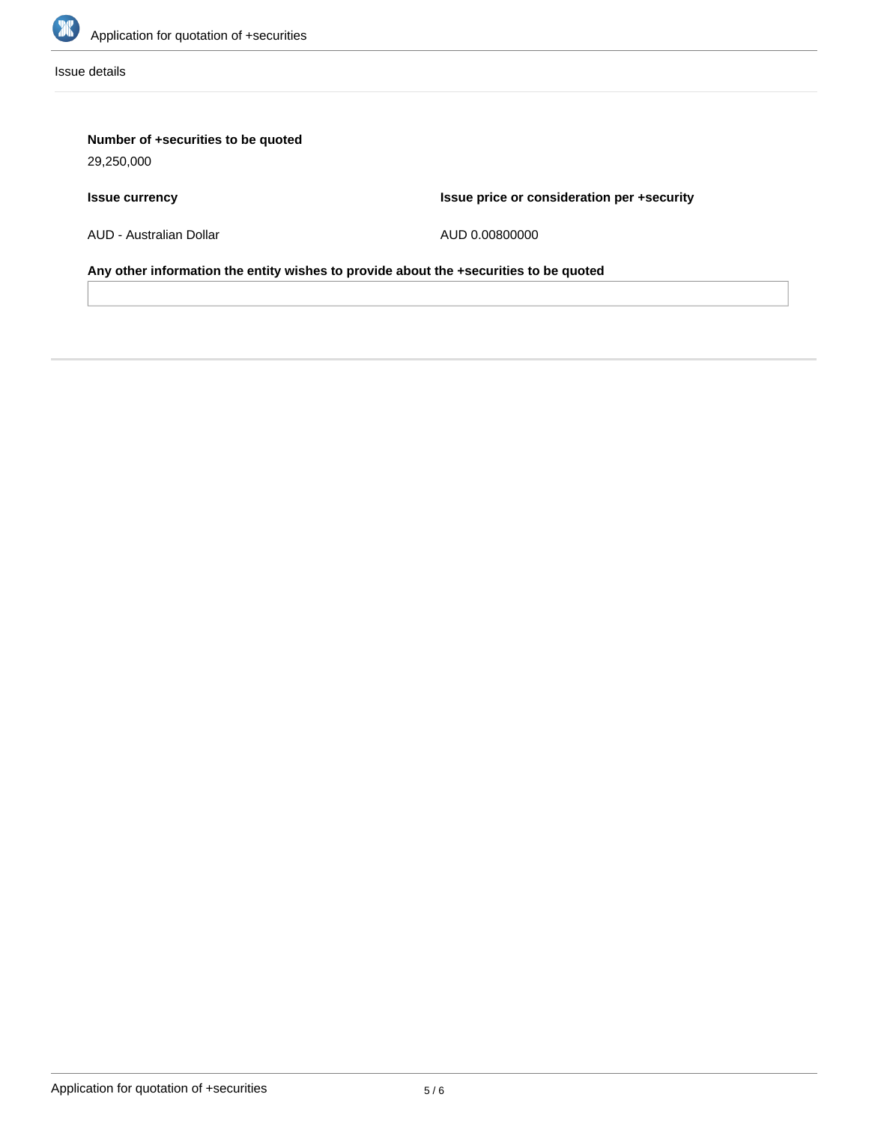

Issue details

# **Number of +securities to be quoted**

29,250,000

# **Issue currency**

**Issue price or consideration per +security**

AUD - Australian Dollar

AUD 0.00800000

**Any other information the entity wishes to provide about the +securities to be quoted**